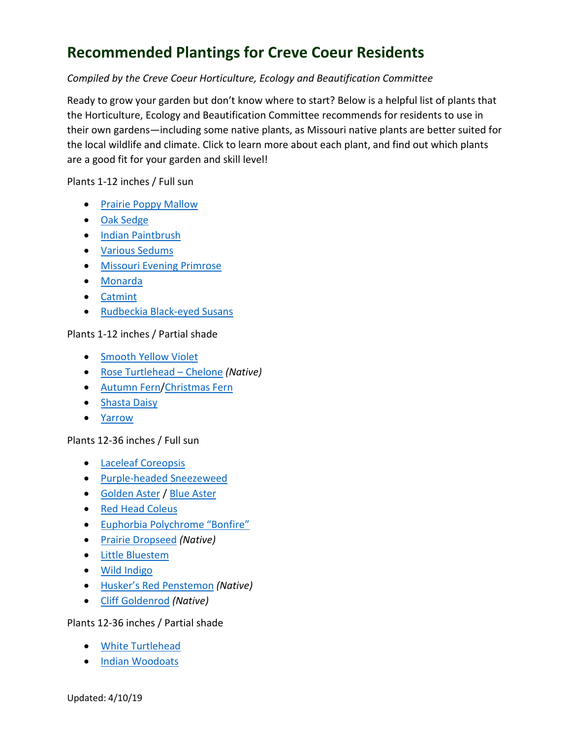# **Recommended Plantings for Creve Coeur Residents**

## *Compiled by the Creve Coeur Horticulture, Ecology and Beautification Committee*

Ready to grow your garden but don't know where to start? Below is a helpful list of plants that the Horticulture, Ecology and Beautification Committee recommends for residents to use in their own gardens—including some native plants, as Missouri native plants are better suited for the local wildlife and climate. Click to learn more about each plant, and find out which plants are a good fit for your garden and skill level!

#### Plants 1-12 inches / Full sun

- [Prairie Poppy Mallow](http://www.missouribotanicalgarden.org/PlantFinder/PlantFinderDetails.aspx?taxonid=254290&isprofile=1&pt=8&cv=5&hf=0&ht=1&chr=24&cn=1)
- [Oak Sedge](http://www.missouribotanicalgarden.org/PlantFinder/PlantFinderDetails.aspx?kempercode=e116)
- [Indian Paintbrush](http://www.missouribotanicalgarden.org/PlantFinder/PlantFinderDetails.aspx?taxonid=286964&isprofile=1&pt=8&cv=5&hf=0&ht=1&chr=24&cn=1)
- [Various Sedums](http://www.missouribotanicalgarden.org/PlantFinder/PlantFinderProfileResults.aspx?gen=Sedum)
- [Missouri Evening Primrose](http://www.missouribotanicalgarden.org/PlantFinder/PlantFinderDetails.aspx?taxonid=283032&isprofile=1&pt=8&cv=5&hf=0&ht=1&chr=24&cn=1)
- [Monarda](http://www.missouribotanicalgarden.org/PlantFinder/PlantFinderProfileResults.aspx?gen=Monarda)
- [Catmint](http://www.missouribotanicalgarden.org/PlantFinder/PlantFinderDetails.aspx?kempercode=t160)
- [Rudbeckia Black-eyed Susans](http://www.missouribotanicalgarden.org/PlantFinder/PlantFinderDetails.aspx?taxonid=277225)

### Plants 1-12 inches / Partial shade

- **[Smooth Yellow Violet](http://www.missouribotanicalgarden.org/PlantFinder/PlantFinderDetails.aspx?kempercode=m810)**
- [Rose Turtlehead –](http://www.missouribotanicalgarden.org/PlantFinder/PlantFinderDetails.aspx?taxonid=293430) Chelone *(Native)*
- [Autumn](http://www.missouribotanicalgarden.org/PlantFinder/PlantFinderDetails.aspx?taxonid=285661&isprofile=0&) Fern[/Christmas Fern](http://www.missouribotanicalgarden.org/PlantFinder/PlantFinderDetails.aspx?kempercode=a710)
- [Shasta Daisy](http://www.missouribotanicalgarden.org/PlantFinder/PlantFinderDetails.aspx?kempercode=r550)
- [Yarrow](http://www.missouribotanicalgarden.org/PlantFinder/PlantFinderDetails.aspx?kempercode=b282)

### Plants 12-36 inches / Full sun

- [Laceleaf Coreopsis](http://www.missouribotanicalgarden.org/PlantFinder/PlantFinderDetails.aspx?kempercode=j880)
- [Purple-headed Sneezeweed](http://www.missouribotanicalgarden.org/PlantFinder/PlantFinderDetails.aspx?kempercode=b315)
- [Golden Aster](http://www.missouribotanicalgarden.org/PlantFinder/PlantFinderDetails.aspx?kempercode=z570) / [Blue Aster](http://www.missouribotanicalgarden.org/PlantFinder/PlantFinderDetails.aspx?kempercode=d209)
- [Red Head Coleus](http://www.missouribotanicalgarden.org/PlantFinder/PlantFinderDetails.aspx?taxonid=361469&isprofile=1&adv=Coleus)
- [Euphorbia Polychrome "Bonfire"](http://www.missouribotanicalgarden.org/PlantFinder/PlantFinderDetails.aspx?taxonid=441061&isprofile=0&%22)
- [Prairie Dropseed](http://www.missouribotanicalgarden.org/PlantFinder/PlantFinderDetails.aspx?kempercode=f680) *(Native)*
- [Little Bluestem](http://www.missouribotanicalgarden.org/PlantFinder/PlantFinderDetails.aspx?kempercode=f510)
- [Wild Indigo](http://www.missouribotanicalgarden.org/PlantFinder/PlantFinderDetails.aspx?kempercode=j500)
- [Husker's Red Penstemon](http://www.missouribotanicalgarden.org/PlantFinder/PlantFinderDetails.aspx?kempercode=i630) *(Native)*
- [Cliff Goldenrod](http://www.missouribotanicalgarden.org/PlantFinder/PlantFinderDetails.aspx?taxonid=277475&isprofile=0&) *(Native)*

### Plants 12-36 inches / Partial shade

- [White Turtlehead](http://www.missouribotanicalgarden.org/PlantFinder/PlantFinderDetails.aspx?kempercode=j780)
- [Indian Woodoats](http://www.missouribotanicalgarden.org/PlantFinder/PlantFinderDetails.aspx?kempercode=a240)